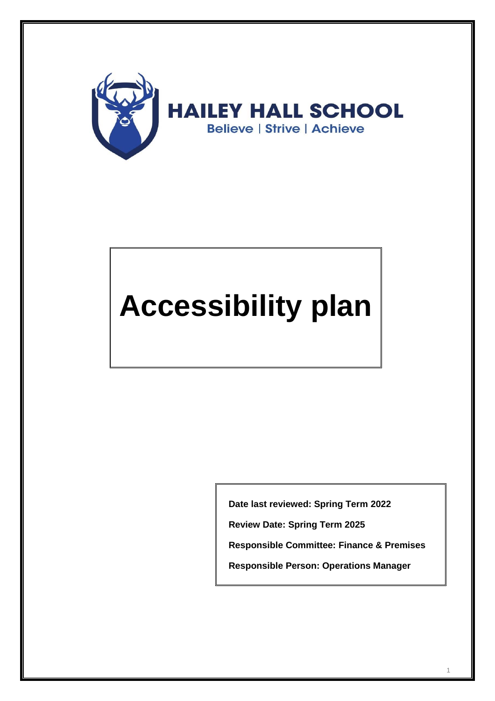

# **Accessibility plan**

**Date last reviewed: Spring Term 2022**

**Review Date: Spring Term 2025**

**Responsible Committee: Finance & Premises**

**Responsible Person: Operations Manager**

1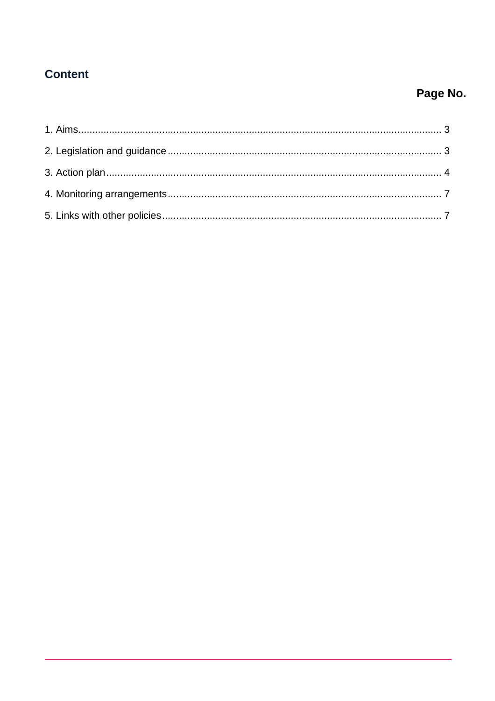## **Content**

## Page No.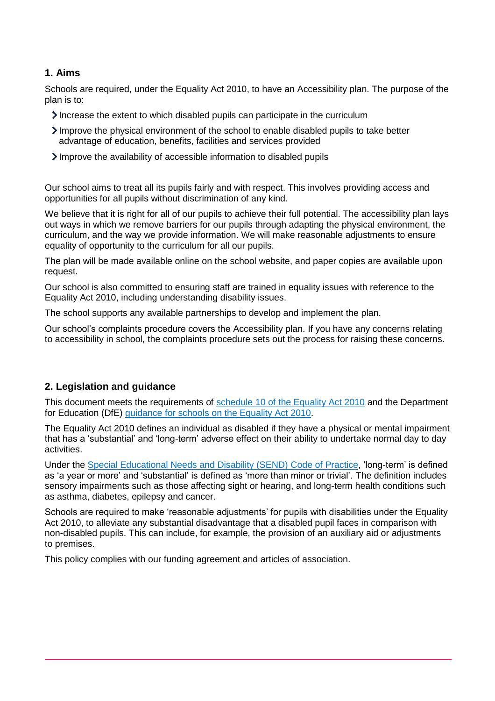#### <span id="page-2-0"></span>**1. Aims**

Schools are required, under the Equality Act 2010, to have an Accessibility plan. The purpose of the plan is to:

- Increase the extent to which disabled pupils can participate in the curriculum
- Improve the physical environment of the school to enable disabled pupils to take better advantage of education, benefits, facilities and services provided
- Improve the availability of accessible information to disabled pupils

Our school aims to treat all its pupils fairly and with respect. This involves providing access and opportunities for all pupils without discrimination of any kind.

We believe that it is right for all of our pupils to achieve their full potential. The accessibility plan lays out ways in which we remove barriers for our pupils through adapting the physical environment, the curriculum, and the way we provide information. We will make reasonable adjustments to ensure equality of opportunity to the curriculum for all our pupils.

The plan will be made available online on the school website, and paper copies are available upon request.

Our school is also committed to ensuring staff are trained in equality issues with reference to the Equality Act 2010, including understanding disability issues.

The school supports any available partnerships to develop and implement the plan.

Our school's complaints procedure covers the Accessibility plan. If you have any concerns relating to accessibility in school, the complaints procedure sets out the process for raising these concerns.

#### <span id="page-2-1"></span>**2. Legislation and guidance**

This document meets the requirements of [schedule 10 of the Equality Act 2010](http://www.legislation.gov.uk/ukpga/2010/15/schedule/10) and the Department for Education (DfE) [guidance for schools on the Equality Act 2010.](https://www.gov.uk/government/publications/equality-act-2010-advice-for-schools)

The Equality Act 2010 defines an individual as disabled if they have a physical or mental impairment that has a 'substantial' and 'long-term' adverse effect on their ability to undertake normal day to day activities.

Under the [Special Educational Needs and Disability \(SEND\) Code of Practice,](https://www.gov.uk/government/publications/send-code-of-practice-0-to-25) 'long-term' is defined as 'a year or more' and 'substantial' is defined as 'more than minor or trivial'. The definition includes sensory impairments such as those affecting sight or hearing, and long-term health conditions such as asthma, diabetes, epilepsy and cancer.

Schools are required to make 'reasonable adjustments' for pupils with disabilities under the Equality Act 2010, to alleviate any substantial disadvantage that a disabled pupil faces in comparison with non-disabled pupils. This can include, for example, the provision of an auxiliary aid or adjustments to premises.

This policy complies with our funding agreement and articles of association.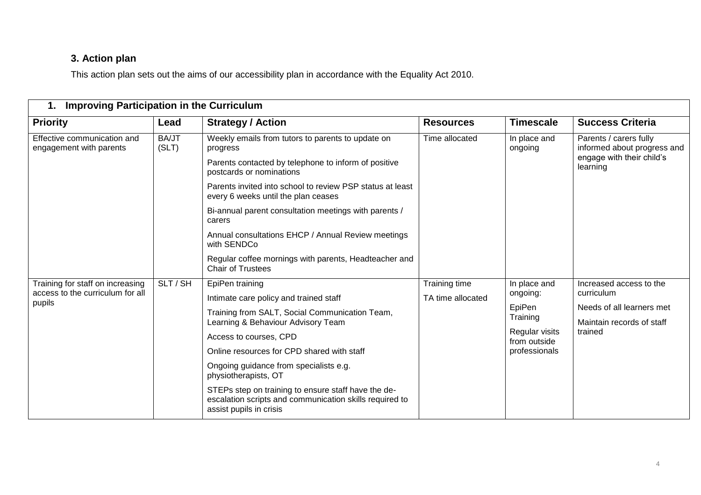### **3. Action plan**

This action plan sets out the aims of our accessibility plan in accordance with the Equality Act 2010.

<span id="page-3-0"></span>

| <b>Improving Participation in the Curriculum</b><br>1.                         |                       |                                                                                                                                           |                                    |                                                 |                                                                                                |
|--------------------------------------------------------------------------------|-----------------------|-------------------------------------------------------------------------------------------------------------------------------------------|------------------------------------|-------------------------------------------------|------------------------------------------------------------------------------------------------|
| <b>Priority</b>                                                                | Lead                  | <b>Strategy / Action</b>                                                                                                                  | <b>Resources</b>                   | <b>Timescale</b>                                | <b>Success Criteria</b>                                                                        |
| Effective communication and<br>engagement with parents                         | <b>BA/JT</b><br>(SLT) | Weekly emails from tutors to parents to update on<br>progress                                                                             | Time allocated                     | In place and<br>ongoing                         | Parents / carers fully<br>informed about progress and<br>engage with their child's<br>learning |
|                                                                                |                       | Parents contacted by telephone to inform of positive<br>postcards or nominations                                                          |                                    |                                                 |                                                                                                |
|                                                                                |                       | Parents invited into school to review PSP status at least<br>every 6 weeks until the plan ceases                                          |                                    |                                                 |                                                                                                |
|                                                                                |                       | Bi-annual parent consultation meetings with parents /<br>carers                                                                           |                                    |                                                 |                                                                                                |
|                                                                                |                       | Annual consultations EHCP / Annual Review meetings<br>with SENDCo                                                                         |                                    |                                                 |                                                                                                |
|                                                                                |                       | Regular coffee mornings with parents, Headteacher and<br><b>Chair of Trustees</b>                                                         |                                    |                                                 |                                                                                                |
| Training for staff on increasing<br>access to the curriculum for all<br>pupils | SLT / SH              | EpiPen training                                                                                                                           | Training time<br>TA time allocated | In place and<br>ongoing:<br>EpiPen<br>Training  | Increased access to the                                                                        |
|                                                                                |                       | Intimate care policy and trained staff                                                                                                    |                                    |                                                 | curriculum<br>Needs of all learners met<br>Maintain records of staff<br>trained                |
|                                                                                |                       | Training from SALT, Social Communication Team,<br>Learning & Behaviour Advisory Team                                                      |                                    |                                                 |                                                                                                |
|                                                                                |                       | Access to courses, CPD                                                                                                                    |                                    | Regular visits<br>from outside<br>professionals |                                                                                                |
|                                                                                |                       | Online resources for CPD shared with staff                                                                                                |                                    |                                                 |                                                                                                |
|                                                                                |                       | Ongoing guidance from specialists e.g.<br>physiotherapists, OT                                                                            |                                    |                                                 |                                                                                                |
|                                                                                |                       | STEPs step on training to ensure staff have the de-<br>escalation scripts and communication skills required to<br>assist pupils in crisis |                                    |                                                 |                                                                                                |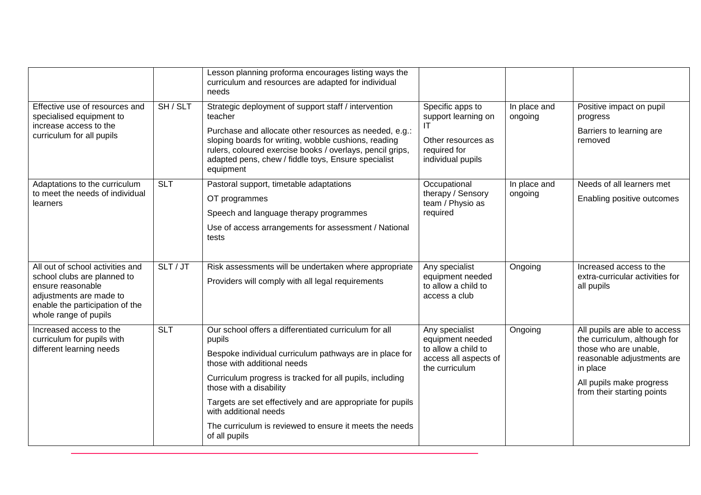|                                                                                                                                                                             |            | Lesson planning proforma encourages listing ways the<br>curriculum and resources are adapted for individual<br>needs                                                                  |                                                                                                          |                         |                                                                                                                                                                                            |
|-----------------------------------------------------------------------------------------------------------------------------------------------------------------------------|------------|---------------------------------------------------------------------------------------------------------------------------------------------------------------------------------------|----------------------------------------------------------------------------------------------------------|-------------------------|--------------------------------------------------------------------------------------------------------------------------------------------------------------------------------------------|
| Effective use of resources and<br>specialised equipment to<br>increase access to the<br>curriculum for all pupils                                                           | SH / SLT   | Strategic deployment of support staff / intervention<br>teacher<br>Purchase and allocate other resources as needed, e.g.:                                                             | Specific apps to<br>support learning on<br>ΙT<br>Other resources as<br>required for<br>individual pupils | In place and<br>ongoing | Positive impact on pupil<br>progress<br>Barriers to learning are                                                                                                                           |
|                                                                                                                                                                             |            | sloping boards for writing, wobble cushions, reading<br>rulers, coloured exercise books / overlays, pencil grips,<br>adapted pens, chew / fiddle toys, Ensure specialist<br>equipment |                                                                                                          |                         | removed                                                                                                                                                                                    |
| Adaptations to the curriculum<br>to meet the needs of individual                                                                                                            | <b>SLT</b> | Pastoral support, timetable adaptations                                                                                                                                               | Occupational<br>therapy / Sensory                                                                        | In place and<br>ongoing | Needs of all learners met                                                                                                                                                                  |
| learners                                                                                                                                                                    |            | OT programmes                                                                                                                                                                         | team / Physio as<br>required                                                                             |                         | Enabling positive outcomes                                                                                                                                                                 |
|                                                                                                                                                                             |            | Speech and language therapy programmes                                                                                                                                                |                                                                                                          |                         |                                                                                                                                                                                            |
|                                                                                                                                                                             |            | Use of access arrangements for assessment / National<br>tests                                                                                                                         |                                                                                                          |                         |                                                                                                                                                                                            |
| All out of school activities and<br>school clubs are planned to<br>ensure reasonable<br>adjustments are made to<br>enable the participation of the<br>whole range of pupils | SLT/JT     | Risk assessments will be undertaken where appropriate<br>Providers will comply with all legal requirements                                                                            | Any specialist<br>equipment needed<br>to allow a child to<br>access a club                               | Ongoing                 | Increased access to the<br>extra-curricular activities for<br>all pupils                                                                                                                   |
| Increased access to the<br>curriculum for pupils with<br>different learning needs                                                                                           | <b>SLT</b> | Our school offers a differentiated curriculum for all<br>pupils                                                                                                                       | Any specialist<br>equipment needed<br>to allow a child to<br>access all aspects of<br>the curriculum     | Ongoing                 | All pupils are able to access<br>the curriculum, although for<br>those who are unable.<br>reasonable adjustments are<br>in place<br>All pupils make progress<br>from their starting points |
|                                                                                                                                                                             |            | Bespoke individual curriculum pathways are in place for<br>those with additional needs                                                                                                |                                                                                                          |                         |                                                                                                                                                                                            |
|                                                                                                                                                                             |            | Curriculum progress is tracked for all pupils, including<br>those with a disability                                                                                                   |                                                                                                          |                         |                                                                                                                                                                                            |
|                                                                                                                                                                             |            | Targets are set effectively and are appropriate for pupils<br>with additional needs                                                                                                   |                                                                                                          |                         |                                                                                                                                                                                            |
|                                                                                                                                                                             |            | The curriculum is reviewed to ensure it meets the needs<br>of all pupils                                                                                                              |                                                                                                          |                         |                                                                                                                                                                                            |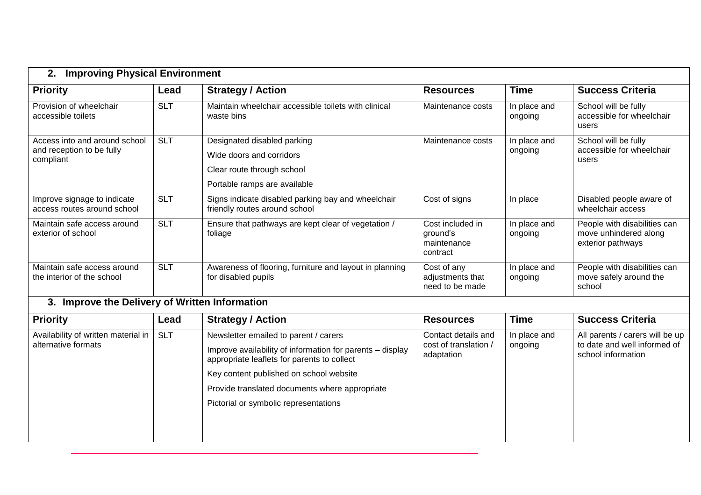| <b>Priority</b>                                                         | Lead       | <b>Strategy / Action</b>                                                                                              | <b>Resources</b>                                        | <b>Time</b>             | <b>Success Criteria</b>                                                    |
|-------------------------------------------------------------------------|------------|-----------------------------------------------------------------------------------------------------------------------|---------------------------------------------------------|-------------------------|----------------------------------------------------------------------------|
| Provision of wheelchair<br>accessible toilets                           | <b>SLT</b> | Maintain wheelchair accessible toilets with clinical<br>waste bins                                                    | Maintenance costs                                       | In place and<br>ongoing | School will be fully<br>accessible for wheelchair<br>users                 |
| Access into and around school<br>and reception to be fully<br>compliant | <b>SLT</b> | Designated disabled parking<br>Wide doors and corridors<br>Clear route through school<br>Portable ramps are available | Maintenance costs                                       | In place and<br>ongoing | School will be fully<br>accessible for wheelchair<br>users                 |
| Improve signage to indicate<br>access routes around school              | <b>SLT</b> | Signs indicate disabled parking bay and wheelchair<br>friendly routes around school                                   | Cost of signs                                           | In place                | Disabled people aware of<br>wheelchair access                              |
| Maintain safe access around<br>exterior of school                       | <b>SLT</b> | Ensure that pathways are kept clear of vegetation /<br>foliage                                                        | Cost included in<br>ground's<br>maintenance<br>contract | In place and<br>ongoing | People with disabilities can<br>move unhindered along<br>exterior pathways |
| Maintain safe access around<br>the interior of the school               | <b>SLT</b> | Awareness of flooring, furniture and layout in planning<br>for disabled pupils                                        | Cost of any<br>adjustments that<br>need to be made      | In place and<br>ongoing | People with disabilities can<br>move safely around the<br>school           |

#### **Priority Lead Strategy / Action Resources Time Success Criteria** Availability of written material in alternative formats SLT Newsletter emailed to parent / carers Improve availability of information for parents – display appropriate leaflets for parents to collect Key content published on school website Provide translated documents where appropriate Pictorial or symbolic representations Contact details and cost of translation / adaptation In place and ongoing All parents / carers will be up to date and well informed of school information